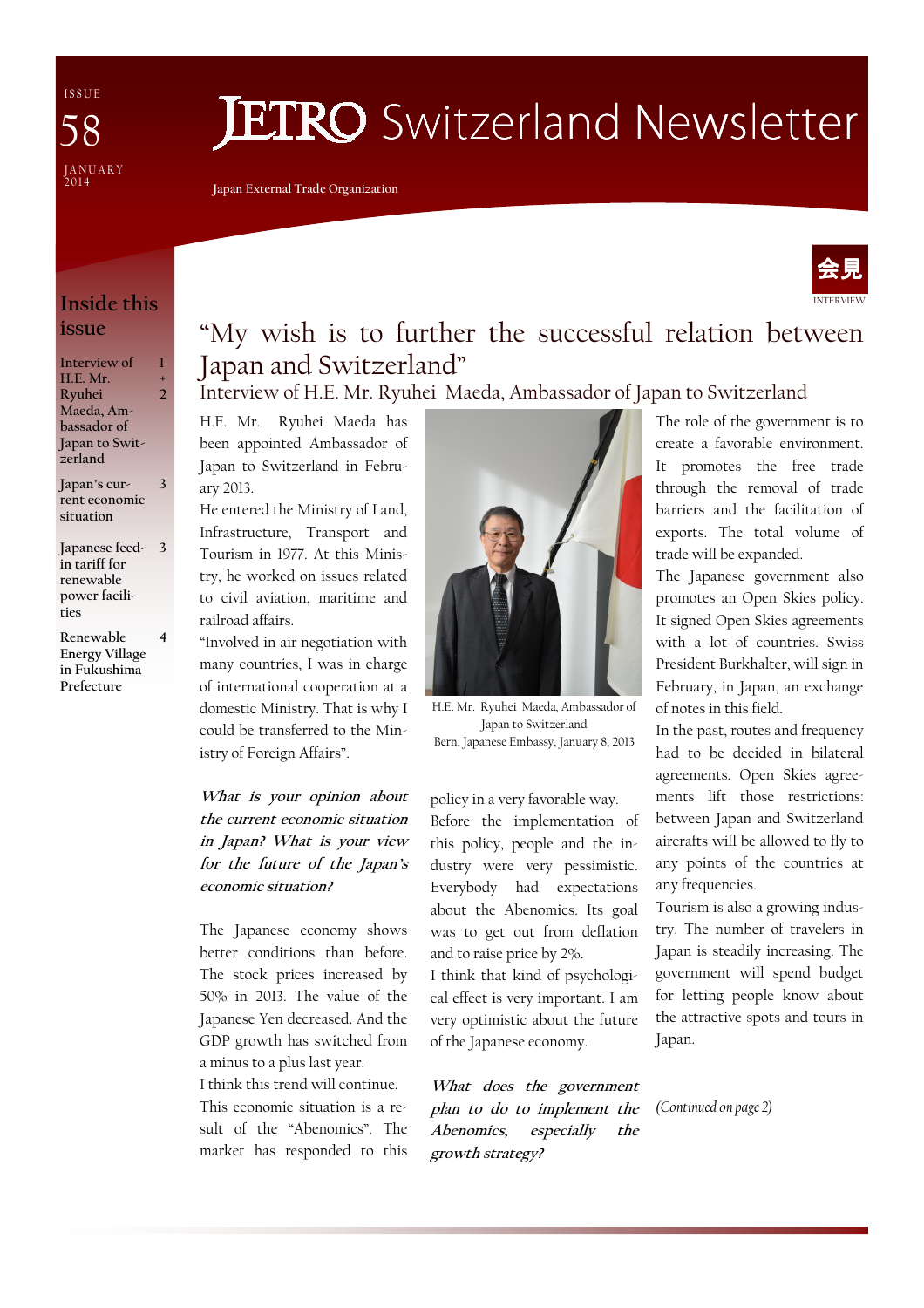I S S U E JANUARY<br>2014 58

# **JETRO** Switzerland Newsletter

Japan External Trade Organization



## Inside this issue

| Interview of   |   |
|----------------|---|
| H.E. Mr.       | 4 |
| Ryuhei         |   |
| Maeda, Am-     |   |
| bassador of    |   |
| Japan to Swit- |   |
| zerland        |   |

Japan's current economic situation 3

- Japanese feed-3 in tariff for renewable power facilities
- Renewable Energy Village in Fukushima Prefecture

4

# "My wish is to further the successful relation between Japan and Switzerland"

## Interview of H.E. Mr. Ryuhei Maeda, Ambassador of Japan to Switzerland

H.E. Mr. Ryuhei Maeda has been appointed Ambassador of Japan to Switzerland in February 2013.

He entered the Ministry of Land, Infrastructure, Transport and Tourism in 1977. At this Ministry, he worked on issues related to civil aviation, maritime and railroad affairs.

"Involved in air negotiation with many countries, I was in charge of international cooperation at a domestic Ministry. That is why I could be transferred to the Ministry of Foreign Affairs".

What is your opinion about the current economic situation in Japan? What is your view for the future of the Japan's economic situation?

The Japanese economy shows better conditions than before. The stock prices increased by 50% in 2013. The value of the Japanese Yen decreased. And the GDP growth has switched from a minus to a plus last year.

I think this trend will continue. This economic situation is a result of the "Abenomics". The market has responded to this



H.E. Mr. Ryuhei Maeda, Ambassador of Japan to Switzerland Bern, Japanese Embassy, January 8, 2013

policy in a very favorable way. Before the implementation of this policy, people and the industry were very pessimistic. Everybody had expectations about the Abenomics. Its goal was to get out from deflation and to raise price by 2%.

I think that kind of psychological effect is very important. I am very optimistic about the future of the Japanese economy.

What does the government plan to do to implement the Abenomics, especially the growth strategy?

The role of the government is to create a favorable environment. It promotes the free trade through the removal of trade barriers and the facilitation of exports. The total volume of trade will be expanded.

The Japanese government also promotes an Open Skies policy. It signed Open Skies agreements with a lot of countries. Swiss President Burkhalter, will sign in February, in Japan, an exchange of notes in this field.

In the past, routes and frequency had to be decided in bilateral agreements. Open Skies agreements lift those restrictions: between Japan and Switzerland aircrafts will be allowed to fly to any points of the countries at any frequencies.

Tourism is also a growing industry. The number of travelers in Japan is steadily increasing. The government will spend budget for letting people know about the attractive spots and tours in Japan.

(Continued on page 2)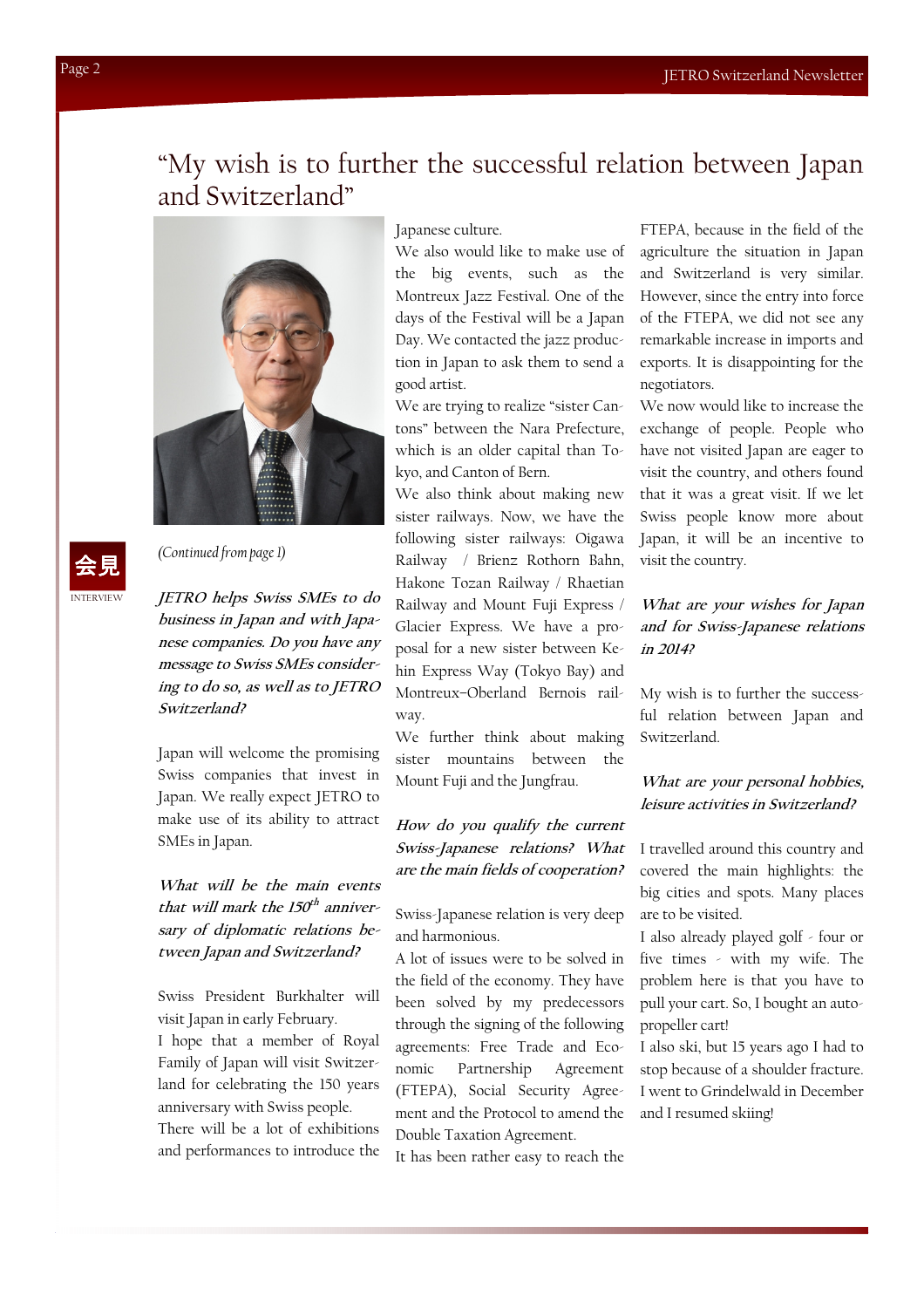# "My wish is to further the successful relation between Japan and Switzerland"



INTERVIEW 会見

(Continued from page 1)

JETRO helps Swiss SMEs to do business in Japan and with Japanese companies. Do you have any message to Swiss SMEs considering to do so, as well as to JETRO Switzerland?

Japan will welcome the promising Swiss companies that invest in Japan. We really expect JETRO to make use of its ability to attract SMEs in Japan.

What will be the main events that will mark the 150<sup>th</sup> anniversary of diplomatic relations between Japan and Switzerland?

Swiss President Burkhalter will visit Japan in early February.

I hope that a member of Royal Family of Japan will visit Switzerland for celebrating the 150 years anniversary with Swiss people.

There will be a lot of exhibitions and performances to introduce the Japanese culture.

We also would like to make use of the big events, such as the Montreux Jazz Festival. One of the days of the Festival will be a Japan Day. We contacted the jazz production in Japan to ask them to send a good artist.

We are trying to realize "sister Cantons" between the Nara Prefecture, which is an older capital than Tokyo, and Canton of Bern.

We also think about making new sister railways. Now, we have the following sister railways: Oigawa Railway / Brienz Rothorn Bahn, Hakone Tozan Railway / Rhaetian Railway and Mount Fuji Express / Glacier Express. We have a proposal for a new sister between Kehin Express Way (Tokyo Bay) and Montreux–Oberland Bernois railway.

We further think about making sister mountains between the Mount Fuji and the Jungfrau.

#### How do you qualify the current Swiss-Japanese relations? What are the main fields of cooperation?

Swiss-Japanese relation is very deep and harmonious.

A lot of issues were to be solved in the field of the economy. They have been solved by my predecessors through the signing of the following agreements: Free Trade and Economic Partnership Agreement (FTEPA), Social Security Agreement and the Protocol to amend the Double Taxation Agreement.

It has been rather easy to reach the

FTEPA, because in the field of the agriculture the situation in Japan and Switzerland is very similar. However, since the entry into force of the FTEPA, we did not see any remarkable increase in imports and exports. It is disappointing for the negotiators.

We now would like to increase the exchange of people. People who have not visited Japan are eager to visit the country, and others found that it was a great visit. If we let Swiss people know more about Japan, it will be an incentive to visit the country.

#### What are your wishes for Japan and for Swiss-Japanese relations in 2014?

My wish is to further the successful relation between Japan and Switzerland.

#### What are your personal hobbies, leisure activities in Switzerland?

I travelled around this country and covered the main highlights: the big cities and spots. Many places are to be visited.

I also already played golf - four or five times - with my wife. The problem here is that you have to pull your cart. So, I bought an autopropeller cart!

I also ski, but 15 years ago I had to stop because of a shoulder fracture. I went to Grindelwald in December and I resumed skiing!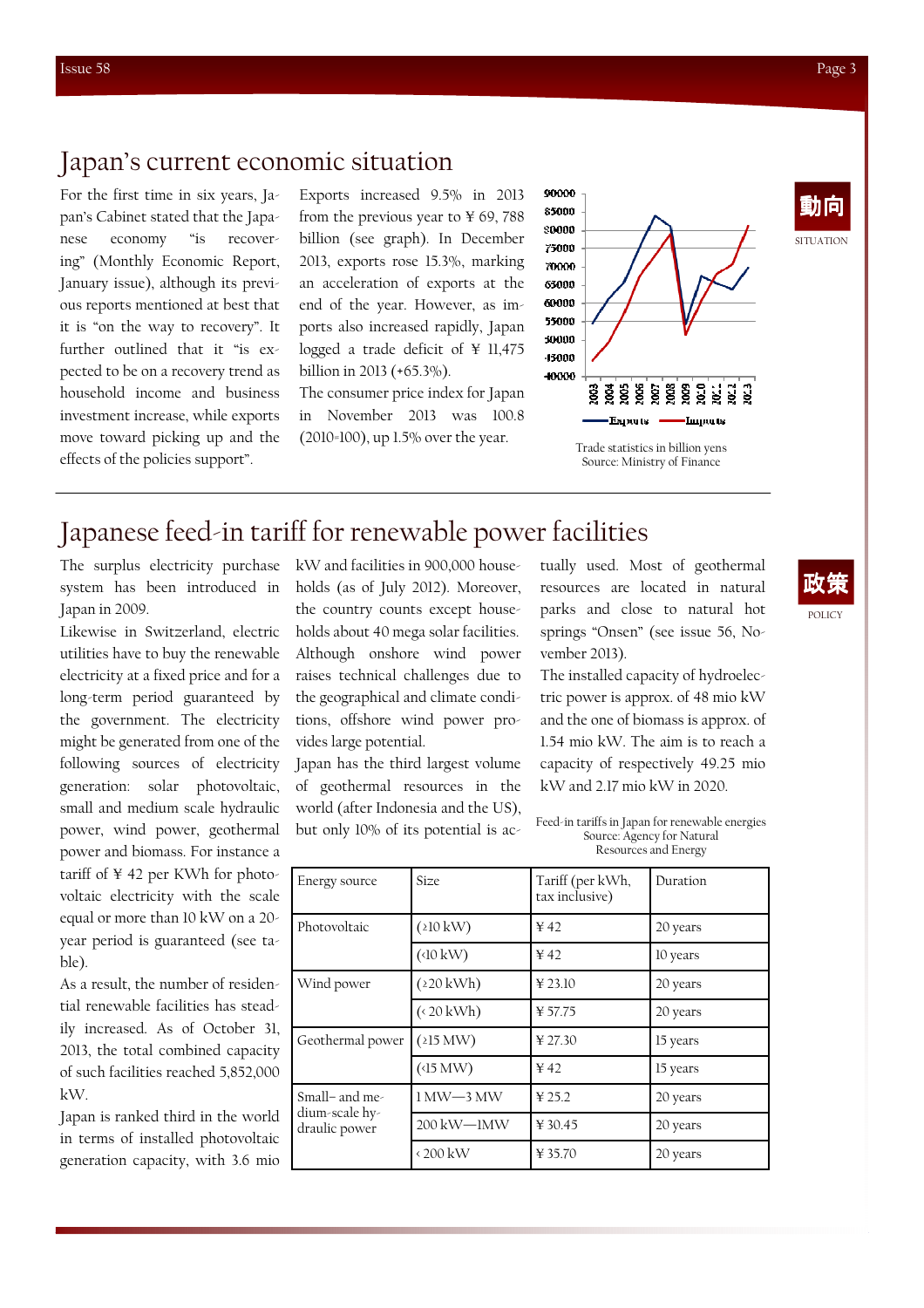For the first time in six years, Japan's Cabinet stated that the Japanese economy "is recovering" (Monthly Economic Report, January issue), although its previous reports mentioned at best that it is "on the way to recovery". It further outlined that it "is expected to be on a recovery trend as household income and business investment increase, while exports move toward picking up and the effects of the policies support".

Exports increased 9.5% in 2013 from the previous year to  $\frac{1}{2}$  69, 788 billion (see graph). In December 2013, exports rose 15.3%, marking an acceleration of exports at the end of the year. However, as imports also increased rapidly, Japan logged a trade deficit of ¥ 11,475 billion in 2013 (+65.3%).

The consumer price index for Japan in November 2013 was 100.8 (2010=100), up 1.5% over the year.



Source: Ministry of Finance

## Japanese feed-in tariff for renewable power facilities

The surplus electricity purchase system has been introduced in Japan in 2009.

Likewise in Switzerland, electric utilities have to buy the renewable electricity at a fixed price and for a long-term period guaranteed by the government. The electricity might be generated from one of the following sources of electricity generation: solar photovoltaic, small and medium scale hydraulic power, wind power, geothermal power and biomass. For instance a tariff of ¥ 42 per KWh for photovoltaic electricity with the scale equal or more than 10 kW on a 20 year period is guaranteed (see table).

As a result, the number of residential renewable facilities has steadily increased. As of October 31, 2013, the total combined capacity of such facilities reached 5,852,000 kW.

Japan is ranked third in the world in terms of installed photovoltaic generation capacity, with 3.6 mio

kW and facilities in 900,000 households (as of July 2012). Moreover, the country counts except households about 40 mega solar facilities. Although onshore wind power raises technical challenges due to the geographical and climate conditions, offshore wind power provides large potential.

Japan has the third largest volume of geothermal resources in the world (after Indonesia and the US), but only 10% of its potential is actually used. Most of geothermal resources are located in natural parks and close to natural hot springs "Onsen" (see issue 56, November 2013).

The installed capacity of hydroelectric power is approx. of 48 mio kW and the one of biomass is approx. of 1.54 mio kW. The aim is to reach a capacity of respectively 49.25 mio kW and 2.17 mio kW in 2020.

Feed-in tariffs in Japan for renewable energies Source: Agency for Natural Resources and Energy

| Energy source                                     | Size                            | Tariff (per kWh,<br>tax inclusive) | Duration |
|---------------------------------------------------|---------------------------------|------------------------------------|----------|
| Photovoltaic                                      | $(210 \text{ kW})$              | 42                                 | 20 years |
|                                                   | $(10 \text{ kW})$               | 42                                 | 10 years |
| Wind power                                        | $(220 \text{ kWh})$             | ¥ 23.10                            | 20 years |
|                                                   | $($ < 20 kWh)                   | ¥57.75                             | 20 years |
| Geothermal power                                  | (215 MW)                        | ¥ 27.30                            | 15 years |
|                                                   | (15 MW)                         | 42                                 | 15 years |
| Small- and me-<br>dium-scale hy-<br>draulic power | $1\,\mathrm{MW-3}\,\mathrm{MW}$ | ¥ 25.2                             | 20 years |
|                                                   | 200 kW-1MW                      | ¥ 30.45                            | 20 years |
|                                                   | $\langle 200 \text{ kW}$        | ¥ 35.70                            | 20 years |

政策

SITUATION

動向